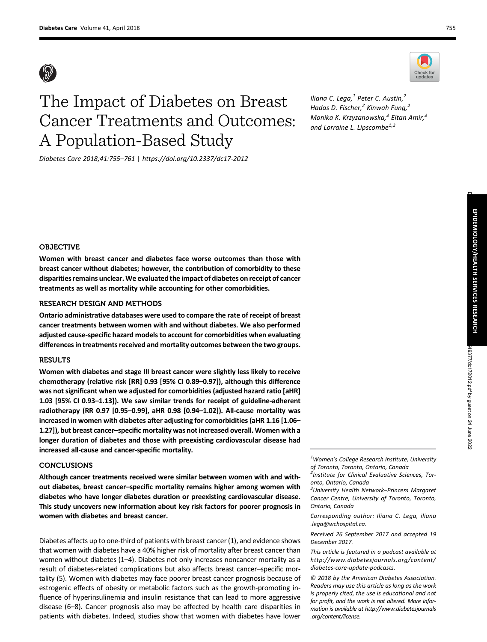

# The Impact of Diabetes on Breast Cancer Treatments and Outcomes: A Population-Based Study

Diabetes Care 2018;41:755–761 | <https://doi.org/10.2337/dc17-2012>



Iliana C. Lega, $^1$  Peter C. Austin, $^2$ Hadas D. Fischer, $^2$  Kinwah Fung, $^2$ Monika K. Krzyzanowska, $3$  Eitan Amir, $3$ and Lorraine L. Lipscombe<sup>1,2</sup>

# OBJECTIVE

Women with breast cancer and diabetes face worse outcomes than those with breast cancer without diabetes; however, the contribution of comorbidity to these disparities remains unclear. We evaluated the impact of diabetes on receipt of cancer treatments as well as mortality while accounting for other comorbidities.

# RESEARCH DESIGN AND METHODS

Ontario administrative databases were used to compare the rate of receipt of breast cancer treatments between women with and without diabetes. We also performed adjusted cause-specific hazard models to account for comorbidities when evaluating differences in treatments received and mortality outcomes between the two groups.

# **RESULTS**

Women with diabetes and stage III breast cancer were slightly less likely to receive chemotherapy (relative risk [RR] 0.93 [95% CI 0.89–0.97]), although this difference was not significant when we adjusted for comorbidities (adjusted hazard ratio [aHR] 1.03 [95% CI 0.93–1.13]). We saw similar trends for receipt of guideline-adherent radiotherapy (RR 0.97 [0.95–0.99], aHR 0.98 [0.94–1.02]). All-cause mortality was increased in women with diabetes after adjusting for comorbidities (aHR 1.16 [1.06– 1.27]), but breast cancer–specific mortality was not increased overall. Women with a longer duration of diabetes and those with preexisting cardiovascular disease had increased all-cause and cancer-specific mortality.

# **CONCLUSIONS**

Although cancer treatments received were similar between women with and without diabetes, breast cancer–specific mortality remains higher among women with diabetes who have longer diabetes duration or preexisting cardiovascular disease. This study uncovers new information about key risk factors for poorer prognosis in women with diabetes and breast cancer.

Diabetes affects up to one-third of patients with breast cancer (1), and evidence shows that women with diabetes have a 40% higher risk of mortality after breast cancer than women without diabetes (1–4). Diabetes not only increases noncancer mortality as a result of diabetes-related complications but also affects breast cancer–specific mortality (5). Women with diabetes may face poorer breast cancer prognosis because of estrogenic effects of obesity or metabolic factors such as the growth-promoting influence of hyperinsulinemia and insulin resistance that can lead to more aggressive disease (6–8). Cancer prognosis also may be affected by health care disparities in patients with diabetes. Indeed, studies show that women with diabetes have lower

 $1$ Women's College Research Institute, University of Toronto, Toronto, Ontario, Canada

<sup>2</sup>Institute for Clinical Evaluative Sciences, Toronto, Ontario, Canada

<sup>3</sup>University Health Network–Princess Margaret Cancer Centre, University of Toronto, Toronto, Ontario, Canada

Corresponding author: Iliana C. Lega, [iliana](mailto:iliana.lega@wchospital.ca) [.lega@wchospital.ca](mailto:iliana.lega@wchospital.ca).

Received 26 September 2017 and accepted 19 December 2017.

This article is featured in a podcast available at [http://www.diabetesjournals.org/content/](http://www.diabetesjournals.org/content/diabetes-core-update-podcasts) [diabetes-core-update-podcasts](http://www.diabetesjournals.org/content/diabetes-core-update-podcasts).

© 2018 by the American Diabetes Association. Readers may use this article as long as the work is properly cited, the use is educational and not for profit, and the work is not altered. More information is available at [http://www.diabetesjournals](http://www.diabetesjournals.org/content/license) [.org/content/license](http://www.diabetesjournals.org/content/license).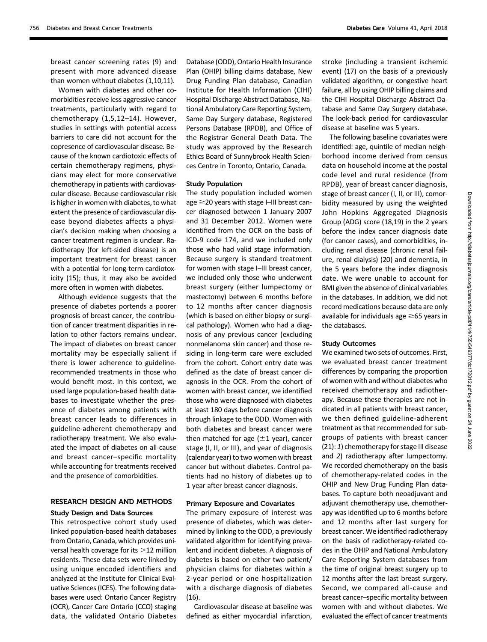breast cancer screening rates (9) and present with more advanced disease than women without diabetes (1,10,11).

Women with diabetes and other comorbidities receive less aggressive cancer treatments, particularly with regard to chemotherapy (1,5,12–14). However, studies in settings with potential access barriers to care did not account for the copresence of cardiovascular disease. Because of the known cardiotoxic effects of certain chemotherapy regimens, physicians may elect for more conservative chemotherapy in patients with cardiovascular disease. Because cardiovascular risk is higher in women with diabetes, to what extent the presence of cardiovascular disease beyond diabetes affects a physician's decision making when choosing a cancer treatment regimen is unclear. Radiotherapy (for left-sided disease) is an important treatment for breast cancer with a potential for long-term cardiotoxicity (15); thus, it may also be avoided more often in women with diabetes.

Although evidence suggests that the presence of diabetes portends a poorer prognosis of breast cancer, the contribution of cancer treatment disparities in relation to other factors remains unclear. The impact of diabetes on breast cancer mortality may be especially salient if there is lower adherence to guidelinerecommended treatments in those who would benefit most. In this context, we used large population-based health databases to investigate whether the presence of diabetes among patients with breast cancer leads to differences in guideline-adherent chemotherapy and radiotherapy treatment. We also evaluated the impact of diabetes on all-cause and breast cancer–specific mortality while accounting for treatments received and the presence of comorbidities.

# RESEARCH DESIGN AND METHODS

# Study Design and Data Sources

This retrospective cohort study used linked population-based health databases from Ontario, Canada, which provides universal health coverage for its  $>$ 12 million residents. These data sets were linked by using unique encoded identifiers and analyzed at the Institute for Clinical Evaluative Sciences (ICES). The following databases were used: Ontario Cancer Registry (OCR), Cancer Care Ontario (CCO) staging data, the validated Ontario Diabetes

Database (ODD), Ontario Health Insurance Plan (OHIP) billing claims database, New Drug Funding Plan database, Canadian Institute for Health Information (CIHI) Hospital Discharge Abstract Database, National Ambulatory Care Reporting System, Same Day Surgery database, Registered Persons Database (RPDB), and Office of the Registrar General Death Data. The study was approved by the Research Ethics Board of Sunnybrook Health Sciences Centre in Toronto, Ontario, Canada.

## Study Population

The study population included women age  $\geq$  20 years with stage I–III breast cancer diagnosed between 1 January 2007 and 31 December 2012. Women were identified from the OCR on the basis of ICD-9 code 174, and we included only those who had valid stage information. Because surgery is standard treatment for women with stage I–III breast cancer, we included only those who underwent breast surgery (either lumpectomy or mastectomy) between 6 months before to 12 months after cancer diagnosis (which is based on either biopsy or surgical pathology). Women who had a diagnosis of any previous cancer (excluding nonmelanoma skin cancer) and those residing in long-term care were excluded from the cohort. Cohort entry date was defined as the date of breast cancer diagnosis in the OCR. From the cohort of women with breast cancer, we identified those who were diagnosed with diabetes at least 180 days before cancer diagnosis through linkage to the ODD. Women with both diabetes and breast cancer were then matched for age  $(\pm 1 \text{ year})$ , cancer stage (I, II, or III), and year of diagnosis (calendar year) to two women with breast cancer but without diabetes. Control patients had no history of diabetes up to 1 year after breast cancer diagnosis.

#### Primary Exposure and Covariates

The primary exposure of interest was presence of diabetes, which was determined by linking to the ODD, a previously validated algorithm for identifying prevalent and incident diabetes. A diagnosis of diabetes is based on either two patient/ physician claims for diabetes within a 2-year period or one hospitalization with a discharge diagnosis of diabetes (16).

Cardiovascular disease at baseline was defined as either myocardial infarction,

stroke (including a transient ischemic event) (17) on the basis of a previously validated algorithm, or congestive heart failure, all by using OHIP billing claims and the CIHI Hospital Discharge Abstract Database and Same Day Surgery database. The look-back period for cardiovascular disease at baseline was 5 years.

The following baseline covariates were identified: age, quintile of median neighborhood income derived from census data on household income at the postal code level and rural residence (from RPDB), year of breast cancer diagnosis, stage of breast cancer (I, II, or III), comorbidity measured by using the weighted John Hopkins Aggregated Diagnosis Group (ADG) score (18,19) in the 2 years before the index cancer diagnosis date (for cancer cases), and comorbidities, including renal disease (chronic renal failure, renal dialysis) (20) and dementia, in the 5 years before the index diagnosis date. We were unable to account for BMI given the absence of clinical variables in the databases. In addition, we did not record medications because data are only available for individuals age  $\geq$  65 years in the databases.

#### Study Outcomes

We examined two sets of outcomes. First, we evaluated breast cancer treatment differences by comparing the proportion of women with and without diabetes who received chemotherapy and radiotherapy. Because these therapies are not indicated in all patients with breast cancer, we then defined guideline-adherent treatment as that recommended for subgroups of patients with breast cancer (21): 1) chemotherapy for stage III disease and 2) radiotherapy after lumpectomy. We recorded chemotherapy on the basis of chemotherapy-related codes in the OHIP and New Drug Funding Plan databases. To capture both neoadjuvant and adjuvant chemotherapy use, chemotherapy was identified up to 6 months before and 12 months after last surgery for breast cancer. We identified radiotherapy on the basis of radiotherapy-related codes in the OHIP and National Ambulatory Care Reporting System databases from the time of original breast surgery up to 12 months after the last breast surgery. Second, we compared all-cause and breast cancer–specific mortality between women with and without diabetes. We evaluated the effect of cancer treatments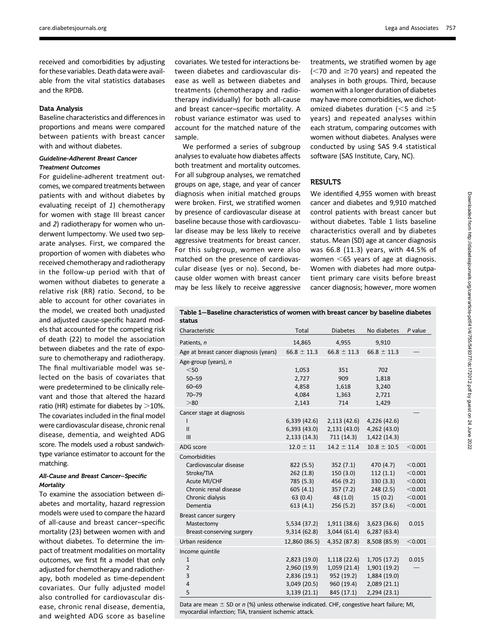received and comorbidities by adjusting for these variables. Death data were available from the vital statistics databases and the RPDB.

#### Data Analysis

Baseline characteristics and differences in proportions and means were compared between patients with breast cancer with and without diabetes.

# Guideline-Adherent Breast Cancer Treatment Outcomes

For guideline-adherent treatment outcomes, we compared treatments between patients with and without diabetes by evaluating receipt of 1) chemotherapy for women with stage III breast cancer and 2) radiotherapy for women who underwent lumpectomy. We used two separate analyses. First, we compared the proportion of women with diabetes who received chemotherapy and radiotherapy in the follow-up period with that of women without diabetes to generate a relative risk (RR) ratio. Second, to be able to account for other covariates in the model, we created both unadjusted and adjusted cause-specific hazard models that accounted for the competing risk of death (22) to model the association between diabetes and the rate of exposure to chemotherapy and radiotherapy. The final multivariable model was selected on the basis of covariates that were predetermined to be clinically relevant and those that altered the hazard ratio (HR) estimate for diabetes by  $>$ 10%. The covariates included in the final model were cardiovascular disease, chronic renal disease, dementia, and weighted ADG score. The models used a robust sandwichtype variance estimator to account for the matching.

# All-Cause and Breast Cancer–Specific **Mortality**

To examine the association between diabetes and mortality, hazard regression models were used to compare the hazard of all-cause and breast cancer–specific mortality (23) between women with and without diabetes. To determine the impact of treatment modalities on mortality outcomes, we first fit a model that only adjusted for chemotherapy and radiotherapy, both modeled as time-dependent covariates. Our fully adjusted model also controlled for cardiovascular disease, chronic renal disease, dementia, and weighted ADG score as baseline

covariates. We tested for interactions between diabetes and cardiovascular disease as well as between diabetes and treatments (chemotherapy and radiotherapy individually) for both all-cause and breast cancer–specific mortality. A robust variance estimator was used to account for the matched nature of the sample.

We performed a series of subgroup analyses to evaluate how diabetes affects both treatment and mortality outcomes. For all subgroup analyses, we rematched groups on age, stage, and year of cancer diagnosis when initial matched groups were broken. First, we stratified women by presence of cardiovascular disease at baseline because those with cardiovascular disease may be less likely to receive aggressive treatments for breast cancer. For this subgroup, women were also matched on the presence of cardiovascular disease (yes or no). Second, because older women with breast cancer may be less likely to receive aggressive treatments, we stratified women by age  $(<$ 70 and  $\ge$ 70 years) and repeated the analyses in both groups. Third, because women with a longer duration of diabetes may have more comorbidities, we dichotomized diabetes duration ( $<$ 5 and  $\ge$ 5 years) and repeated analyses within each stratum, comparing outcomes with women without diabetes. Analyses were conducted by using SAS 9.4 statistical software (SAS Institute, Cary, NC).

# **RESULTS**

We identified 4,955 women with breast cancer and diabetes and 9,910 matched control patients with breast cancer but without diabetes. Table 1 lists baseline characteristics overall and by diabetes status. Mean (SD) age at cancer diagnosis was 66.8 (11.3) years, with 44.5% of women  $<$  65 years of age at diagnosis. Women with diabetes had more outpatient primary care visits before breast cancer diagnosis; however, more women

Table 1—Baseline characteristics of women with breast cancer by baseline diabetes status

| Characteristic                                                                                                                 | Total                                                                        | <b>Diabetes</b>                                                       | No diabetes                                                                  | $P$ value                                                      |
|--------------------------------------------------------------------------------------------------------------------------------|------------------------------------------------------------------------------|-----------------------------------------------------------------------|------------------------------------------------------------------------------|----------------------------------------------------------------|
|                                                                                                                                |                                                                              |                                                                       |                                                                              |                                                                |
| Patients, n                                                                                                                    | 14,865                                                                       | 4,955                                                                 | 9,910                                                                        |                                                                |
| Age at breast cancer diagnosis (years)                                                                                         | $66.8 \pm 11.3$                                                              | $66.8 \pm 11.3$                                                       | $66.8 \pm 11.3$                                                              |                                                                |
| Age-group (years), n<br>$50$<br>$50 - 59$<br>$60 - 69$<br>$70 - 79$<br>> 80                                                    | 1,053<br>2,727<br>4,858<br>4,084<br>2,143                                    | 351<br>909<br>1,618<br>1,363<br>714                                   | 702<br>1,818<br>3,240<br>2,721<br>1,429                                      |                                                                |
| Cancer stage at diagnosis<br>$\mathsf{I}$<br>$\mathbf{II}$<br>III                                                              | 6,339(42.6)<br>6,393(43.0)<br>2,133(14.3)                                    | 2,113(42.6)<br>2,131(43.0)<br>711 (14.3)                              | 4,226 (42.6)<br>4,262 (43.0)<br>1,422 (14.3)                                 |                                                                |
| ADG score                                                                                                                      | $12.0 \pm 11$                                                                | $14.2 \pm 11.4$                                                       | $10.8 \pm 10.5$                                                              | < 0.001                                                        |
| Comorbidities<br>Cardiovascular disease<br>Stroke/TIA<br>Acute MI/CHF<br>Chronic renal disease<br>Chronic dialysis<br>Dementia | 822 (5.5)<br>262(1.8)<br>785 (5.3)<br>605(4.1)<br>63 (0.4)<br>613(4.1)       | 352(7.1)<br>150(3.0)<br>456 (9.2)<br>357(7.2)<br>48 (1.0)<br>256(5.2) | 470 (4.7)<br>112(1.1)<br>330 (3.3)<br>248(2.5)<br>15(0.2)<br>357 (3.6)       | < 0.001<br>< 0.001<br>< 0.001<br>< 0.001<br>< 0.001<br>< 0.001 |
| Breast cancer surgery<br>Mastectomy<br>Breast-conserving surgery                                                               | 5,534 (37.2)<br>9,314(62.8)                                                  | 1,911(38.6)<br>3,044(61.4)                                            | 3,623 (36.6)<br>6,287(63.4)                                                  | 0.015                                                          |
| Urban residence                                                                                                                | 12,860 (86.5)                                                                | 4,352 (87.8)                                                          | 8,508 (85.9)                                                                 | < 0.001                                                        |
| Income quintile<br>$\mathbf{1}$<br>$\overline{2}$<br>3<br>$\overline{4}$<br>5                                                  | 2,823 (19.0)<br>2,960 (19.9)<br>2,836 (19.1)<br>3,049 (20.5)<br>3,139 (21.1) | 1,118(22.6)<br>1,059(21.4)<br>952 (19.2)<br>960 (19.4)<br>845 (17.1)  | 1,705 (17.2)<br>1,901 (19.2)<br>1,884 (19.0)<br>2,089 (21.1)<br>2,294 (23.1) | 0.015                                                          |

Data are mean  $\pm$  SD or n (%) unless otherwise indicated. CHF, congestive heart failure; MI, myocardial infarction; TIA, transient ischemic attack.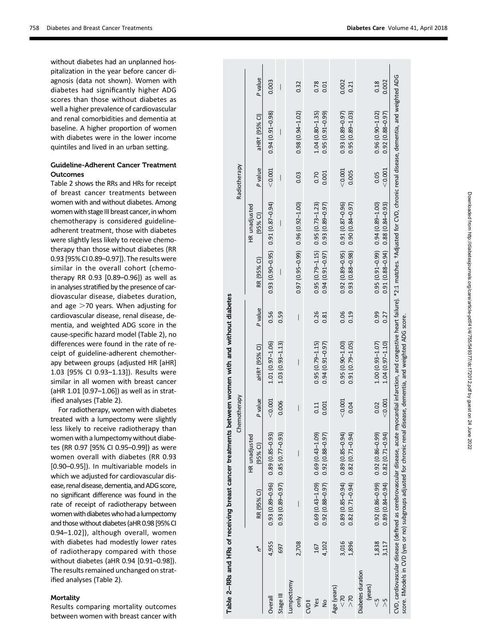without diabetes had an unplanned hospitalization in the year before cancer diagnosis (data not shown). Women with diabetes had signi ficantly higher ADG scores than those without diabetes as well a higher prevalence of cardiovascular and renal comorbidities and dementia at baseline. A higher proportion of women with diabetes were in the lower income quintiles and lived in an urban setting.

## Guideline-Adherent Cancer Treatment **Outcomes**

Table 2 shows the RRs and HRs for receipt of breast cancer treatments between women with and without diabetes. Among women with stage III breast cancer, in whom chemotherapy is considered guidelineadherent treatment, those with diabetes were slightly less likely to receive chemotherapy than those without diabetes (RR 0.93 [95% CI 0.89 –0.97]). The results were similar in the overall cohort (chemotherapy RR 0.93 [0.89–0.96]) as well as in analyses strati fied by the presence of cardiovascular disease, diabetes duration, and age >70 years. When adjusting for cardiovascular disease, renal disease, dementia, and weighted ADG score in the cause-speci fic hazard model (Table 2), no differences were found in the rate of receipt of guideline-adherent chemotherapy between groups (adjusted HR [aHR] 1.03 [95% CI 0.93 –1.13]). Results were similar in all women with breast cancer (aHR 1.01 [0.97 –1.06]) as well as in stratified analyses (Table 2).

For radiotherapy, women with diabetes treated with a lumpectomy were slightly less likely to receive radiotherapy than women with a lumpectomy without diabetes (RR 0.97 [95% CI 0.95–0.99]) as were women overall with diabetes (RR 0.93 [0.90 –0.95]). In multivariable models in which we adjusted for cardiovascular disease, renal disease, dementia, and ADG score, no signi ficant difference was found in the rate of receipt of radiotherapy between women with diabetes who had a lumpectomy and those without diabetes (aHR 0.98 [95% CI 0.94–1.02]), although overall, women with diabetes had modestly lower rates of radiotherapy compared with those without diabetes (aHR 0.94 [0.91 –0.98]). The results remained unchanged on strat ified analyses (Table 2).

#### Mortality

Results comparing mortality outcomes between women with breast cancer with

|                                          |                | Table 2-RRs and HRs of receiving breast cancer treatments h            |                                                                                                                                                                                                                 | Chemotherapy              | between women with and without diabetes    |              |                                                               |                                            | Radiotherapy             |                                            |                          |
|------------------------------------------|----------------|------------------------------------------------------------------------|-----------------------------------------------------------------------------------------------------------------------------------------------------------------------------------------------------------------|---------------------------|--------------------------------------------|--------------|---------------------------------------------------------------|--------------------------------------------|--------------------------|--------------------------------------------|--------------------------|
|                                          | $\tilde{q}^*$  | RR (95% CI)                                                            | HR unadjusted<br>$(95%$ CI)                                                                                                                                                                                     | P value                   | aHR† (95% Cl)                              | P value      | RR (95% CI)                                                   | HR unadjusted<br>$(95%$ CI)                | P value                  | aHR <sup>+</sup> (95% Cl)                  | P value                  |
| Overall                                  | 4,955          |                                                                        | $0.85 - 0.89 - 0.89$ (0.85-0.96)<br>0.89                                                                                                                                                                        | < 0.001                   | $1.01(0.97 - 1.06)$                        | 0.56         | $(0.87 - 0.87)$ te. 0 = 0.95 (0.95 (0.87                      |                                            | $<$ 0.001                | $0.94(0.91 - 0.98)$                        | 0.003                    |
| Stage III                                | 697            | $(0.93)(0.89 - 0.97)$                                                  | $0.85(0.77-0.93)$                                                                                                                                                                                               | 0.006                     | $1.03(0.93 - 1.13)$                        | 0.59         |                                                               | I                                          | $\overline{\phantom{a}}$ |                                            | $\overline{\phantom{a}}$ |
| Lumpectomy<br>only                       | 2,708          | I                                                                      | I                                                                                                                                                                                                               |                           | I                                          | I            | $0.97(0.95 - 0.99)$ 0.96 $(0.92 - 1.00)$                      |                                            | 0.03                     | $0.98(0.94 - 1.02)$                        | 0.32                     |
| Yes<br>$\frac{1}{2}$<br>CVD <sup>‡</sup> | 4,102<br>167   | $0.69(0.43 - 1.09)$<br>$(0.92)(0.88 - 0.97)$                           | $0.69(0.43 - 1.09)$<br>$0.92(0.88 - 0.97)$                                                                                                                                                                      | 0.001<br>0.11             | $0.95(0.79 - 1.15)$<br>$0.94(0.91 - 0.97)$ | 0.26<br>0.81 | $0.95(0.79 - 1.15)$<br>$0.94(0.91 - 0.97)$                    | $0.95(0.73 - 1.23)$<br>$0.93(0.89 - 0.97)$ | 0.70<br>0.001            | $1.04(0.80 - 1.35)$<br>$0.95(0.91 - 0.99)$ | 0.78<br>0.01             |
| Age (years)<br>$\frac{5}{2}$<br>> 70     | 3,016<br>1,896 | $0.82(0.71 - 0.94)$                                                    | $0.85 - 0.85 - 0.89$ (0.85-0.85)<br>$0.82(0.71 - 0.94)$                                                                                                                                                         | < 0.001<br>0.04           | $0.91(0.79 - 1.05)$<br>$0.95(0.90 - 1.00)$ | 0.06<br>0.19 | $0.92(0.89 - 0.95)$<br>$(8e.0 - 88.0)$ $E$ <sub>0.98</sub>    | $0.91(0.87 - 0.96)$<br>$0.90(0.84 - 0.97)$ | < 0.001<br>0.005         | $0.93(0.89 - 0.97)$<br>$0.95(0.89 - 1.03)$ | 0.002<br>0.21            |
| Diabetes duration<br>(years)             | 1,838<br>3,117 | $0.89(0.84 - 0.94)$                                                    | $(0.86 - 0.92)$ (0.86-0.98) 0.92<br>$0.82(0.71 - 0.94)$                                                                                                                                                         | $\frac{20000}{2}$<br>0.02 | $1.00(0.93 - 1.07)$<br>$1.04(0.97 - 1.10)$ | 0.99<br>0.27 | $0.95(0.1 - 0.91(0.39 + 0.89 - 1.00))$<br>$0.91(0.88 - 0.94)$ | $0.88(0.84 - 0.93)$                        | < 0.001<br>0.05          | $0.96(0.90 - 1.02)$<br>$0.92(0.88 - 0.97)$ | 0.002<br>0.18            |
|                                          |                | score. #Models in CVD (yes or no) subgroups adjusted for chronic renal | CVD, cardiovascular disease (defined as cerebrovascular disease, acute myocardial infarction, and congestive heart failure). *2:1 matches. fAdjusted for CVD, chronic renal disease, dementia, and weighted ADG |                           | disease, dementia, and weighted ADG score. |              |                                                               |                                            |                          |                                            |                          |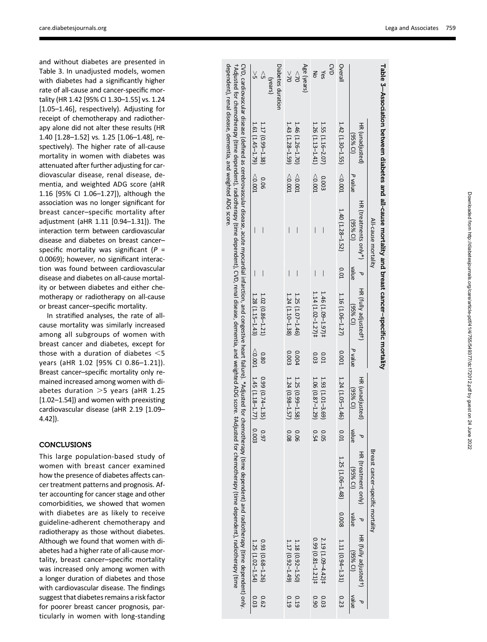# Table 3Association betweendiabetes and all-cause mortality and breast cancer–specific mortality

|                              |                             |                | All-cause mortality                                                                                                                                                                                                                                                                                                                                                                                                                                             |                          |                                         |         |                               |             | Breast cancer-specific mortality |       |                                                      |      |
|------------------------------|-----------------------------|----------------|-----------------------------------------------------------------------------------------------------------------------------------------------------------------------------------------------------------------------------------------------------------------------------------------------------------------------------------------------------------------------------------------------------------------------------------------------------------------|--------------------------|-----------------------------------------|---------|-------------------------------|-------------|----------------------------------|-------|------------------------------------------------------|------|
|                              | HR (unadjusted)<br>(95% Cl) | P value        | HR (treatments only*) P<br>$(12%$ CI $)$                                                                                                                                                                                                                                                                                                                                                                                                                        | value                    | HR (fully adjustedt)<br>(0.360)         | P value | HR (unadjusted)<br>$(12%$ 65% | value<br>Ρ  | (12%                             | value | HR (treatment only) P HR (fully adjusted+) P<br>(12% | oule |
| <b>Overal</b>                | $1.42(1.30-1.55)$ < 0.001   |                | 1.40 (1.28-1.52)                                                                                                                                                                                                                                                                                                                                                                                                                                                | 0.01                     | 1.16 (1.06-1.27) 0.001 1.24 (1.05-1.46) |         |                               | 0.01        | 1.25 (1.06-1.48) 0.008           |       | $1.11 (0.94 - 1.31)$ 0.23                            |      |
| CVD                          |                             |                |                                                                                                                                                                                                                                                                                                                                                                                                                                                                 |                          |                                         |         |                               |             |                                  |       |                                                      |      |
| Yes                          | 1.55 (1.16-2.07)            | 0.003          | I                                                                                                                                                                                                                                                                                                                                                                                                                                                               | I                        | 1.46 (1.09-1.97)#                       | 0.01    | 1.93 (1.01-3.69)              | <b>0.05</b> |                                  |       | 2.19 (1.09-4.42)#                                    | 0.03 |
| ξ                            | $1.26(1.13-1.41) < 0.001$   |                | I                                                                                                                                                                                                                                                                                                                                                                                                                                                               | I                        | 1.14 (1.02-1.27)#                       | 0.03    | 1.06 (0.87-1.29)              | 0.54        |                                  |       | $0.99$ (0.81-1.21)#                                  | 06.0 |
| Age (years)                  |                             |                |                                                                                                                                                                                                                                                                                                                                                                                                                                                                 |                          |                                         |         |                               |             |                                  |       |                                                      |      |
| $\sim$                       | 1.46 (1.26-1.70)            | $ 0000\rangle$ | I                                                                                                                                                                                                                                                                                                                                                                                                                                                               |                          | $1.25(1.07 - 1.46)$                     | 0.004   | 1.25 (0.99-1.58)              | 0.06        |                                  |       | 1.18 (0.92-1.50)                                     | 0.19 |
| 0/5                          | $1.43(1.28 - 1.59)$ < 0.001 |                | $\overline{\phantom{a}}$                                                                                                                                                                                                                                                                                                                                                                                                                                        | $\overline{\phantom{a}}$ | 1.24 (1.10-1.38)                        | 0.003   | 1.24 (0.98-1.57)              | 0.08        |                                  |       | $1.17(0.92 - 1.49)$                                  | 6T0  |
| Diabetes duration<br>(Aears) |                             |                |                                                                                                                                                                                                                                                                                                                                                                                                                                                                 |                          |                                         |         |                               |             |                                  |       |                                                      |      |
|                              | 1.17 (0.99-1.38)            | 90.0           | I                                                                                                                                                                                                                                                                                                                                                                                                                                                               | $\overline{\phantom{a}}$ | 1.02 (0.86-1.21)                        | 0.80    | $0.99(0.74 - 1.35)$           | 0.97        |                                  |       | 0.93 (0.68-1.26)                                     | 0.62 |
| у<br>С                       | $1.61(1.45 - 1.79) < 0.001$ |                |                                                                                                                                                                                                                                                                                                                                                                                                                                                                 |                          | $1.28(1.15 - 1.43)$                     |         | $< 0.001$ 1.45 (1.18-1.77)    | 0.003       |                                  |       | $1.25(1.02-1.54)$ 0.03                               |      |
|                              |                             |                | 1Adjusted for chematherapy (time dependent), calculated ADG socret 1Adjusted ADG socret 1Adjusted ADG socret 1Adjusted for chemator of the spendent), Chan lependent), Changled ADG socret 1Adjusted for chematy immed for an<br>CVD, cardiovascular disease (defined as cerebrovascular disease, acute myocardial infarction, and congestive heart failure). *Adjusted for chemotherapy (time dependent) and radiotherapy (time dependent) and radiotherapy (t |                          |                                         |         |                               |             |                                  |       |                                                      |      |

dependent),

renal disease,

dementia, and

weighted

ADG score.

and without diabetes are presented in Table 3. In unadjusted models, women with diabetes had a signi ficantly higher rate of all-cause and cancer-speci fic mortality (HR 1.42 [95% CI 1.30–1.55] vs. 1.24 [1.05 –1.46], respectively). Adjusting for receipt of chemotherapy and radiotherapy alone did not alter these results (HR 1.40 [1.28 –1.52] vs. 1.25 [1.06 –1.48], respectively). The higher rate of all-cause mortality in women with diabetes was attenuated after further adjusting for cardiovascular disease, renal disease, dementia, and weighted ADG score (aHR 1.16 [95% CI 1.06 –1.27]), although the association was no longer signi ficant for breast cancer –speci fic mortality after adjustment (aHR 1.11 [0.94 –1.31]). The interaction term between cardiovascular disease and diabetes on breast cancer– specific mortality was significant ( $P =$ 0.0069); however, no signi ficant interaction was found between cardiovascular disease and diabetes on all-cause mortality or between diabetes and either chemotherapy or radiotherapy on all-cause or breast cancer–speci fic mortality.

In strati fied analyses, the rate of allcause mortality was similarly increased among all subgroups of women with breast cancer and diabetes, except for those with a duration of diabetes  $<$ 5 years (aHR 1.02 [95% CI 0.86 –1.21]). Breast cancer–speci fic mortality only remained increased among women with diabetes duration  $>5$  years (aHR 1.25 [1.02 –1.54]) and women with preexisting cardiovascular disease (aHR 2.19 [1.09 – 4.42]).

# **CONCLUSIONS**

This large population-based study of women with breast cancer examined how the presence of diabetes affects cancer treatment patterns and prognosis. After accounting for cancer stage and other comorbidities, we showed that women with diabetes are as likely to receive guideline-adherent chemotherapy and radiotherapy as those without diabetes. Although we found that women with diabetes had a higher rate of all-cause mortality, breast cancer–specific mortality was increased only among women with a longer duration of diabetes and those with cardiovascular disease. The findings suggest that diabetes remains a risk factor for poorer breast cancer prognosis, particularly in women with long-standing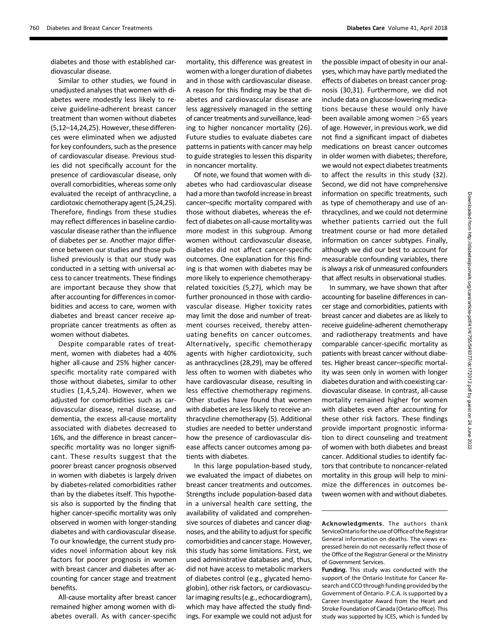diabetes and those with established cardiovascular disease.

Similar to other studies, we found in unadjusted analyses that women with diabetes were modestly less likely to receive guideline-adherent breast cancer treatment than women without diabetes (5,12–14,24,25). However, these differences were eliminated when we adjusted for key confounders, such as the presence of cardiovascular disease. Previous studies did not specifically account for the presence of cardiovascular disease, only overall comorbidities, whereas some only evaluated the receipt of anthracycline, a cardiotoxic chemotherapy agent (5,24,25). Therefore, findings from these studies may reflect differences in baseline cardiovascular disease rather than the influence of diabetes per se. Another major difference between our studies and those published previously is that our study was conducted in a setting with universal access to cancer treatments. These findings are important because they show that after accounting for differences in comorbidities and access to care, women with diabetes and breast cancer receive appropriate cancer treatments as often as women without diabetes.

Despite comparable rates of treatment, women with diabetes had a 40% higher all-cause and 25% higher cancerspecific mortality rate compared with those without diabetes, similar to other studies (1,4,5,24). However, when we adjusted for comorbidities such as cardiovascular disease, renal disease, and dementia, the excess all-cause mortality associated with diabetes decreased to 16%, and the difference in breast cancer– specific mortality was no longer significant. These results suggest that the poorer breast cancer prognosis observed in women with diabetes is largely driven by diabetes-related comorbidities rather than by the diabetes itself. This hypothesis also is supported by the finding that higher cancer-specific mortality was only observed in women with longer-standing diabetes and with cardiovascular disease. To our knowledge, the current study provides novel information about key risk factors for poorer prognosis in women with breast cancer and diabetes after accounting for cancer stage and treatment benefits.

All-cause mortality after breast cancer remained higher among women with diabetes overall. As with cancer-specific

mortality, this difference was greatest in women with a longer duration of diabetes and in those with cardiovascular disease. A reason for this finding may be that diabetes and cardiovascular disease are less aggressively managed in the setting of cancer treatments and surveillance, leading to higher noncancer mortality (26). Future studies to evaluate diabetes care patterns in patients with cancer may help to guide strategies to lessen this disparity in noncancer mortality.

Of note, we found that women with diabetes who had cardiovascular disease had a more than twofold increase in breast cancer–specific mortality compared with those without diabetes, whereas the effect of diabetes on all-cause mortality was more modest in this subgroup. Among women without cardiovascular disease, diabetes did not affect cancer-specific outcomes. One explanation for this finding is that women with diabetes may be more likely to experience chemotherapyrelated toxicities (5,27), which may be further pronounced in those with cardiovascular disease. Higher toxicity rates may limit the dose and number of treatment courses received, thereby attenuating benefits on cancer outcomes. Alternatively, specific chemotherapy agents with higher cardiotoxicity, such as anthracyclines (28,29), may be offered less often to women with diabetes who have cardiovascular disease, resulting in less effective chemotherapy regimens. Other studies have found that women with diabetes are less likely to receive anthracycline chemotherapy (5). Additional studies are needed to better understand how the presence of cardiovascular disease affects cancer outcomes among patients with diabetes.

In this large population-based study, we evaluated the impact of diabetes on breast cancer treatments and outcomes. Strengths include population-based data in a universal health care setting, the availability of validated and comprehensive sources of diabetes and cancer diagnoses, and the ability to adjust for specific comorbidities and cancer stage. However, this study has some limitations. First, we used administrative databases and, thus, did not have access to metabolic markers of diabetes control (e.g., glycated hemoglobin), other risk factors, or cardiovascular imaging results (e.g., echocardiogram), which may have affected the study findings. For example we could not adjust for

the possible impact of obesity in our analyses, which may have partly mediated the effects of diabetes on breast cancer prognosis (30,31). Furthermore, we did not include data on glucose-lowering medications because these would only have been available among women >65 years of age. However, in previous work, we did not find a significant impact of diabetes medications on breast cancer outcomes in older women with diabetes; therefore, we would not expect diabetes treatments to affect the results in this study (32). Second, we did not have comprehensive information on specific treatments, such as type of chemotherapy and use of anthracyclines, and we could not determine whether patients carried out the full treatment course or had more detailed information on cancer subtypes. Finally, although we did our best to account for measurable confounding variables, there is always a risk of unmeasured confounders that affect results in observational studies.

In summary, we have shown that after accounting for baseline differences in cancer stage and comorbidities, patients with breast cancer and diabetes are as likely to receive guideline-adherent chemotherapy and radiotherapy treatments and have comparable cancer-specific mortality as patients with breast cancer without diabetes. Higher breast cancer–specific mortality was seen only in women with longer diabetes duration and with coexisting cardiovascular disease. In contrast, all-cause mortality remained higher for women with diabetes even after accounting for these other risk factors. These findings provide important prognostic information to direct counseling and treatment of women with both diabetes and breast cancer. Additional studies to identify factors that contribute to noncancer-related mortality in this group will help to minimize the differences in outcomes between women with and without diabetes.

Acknowledgments. The authors thank ServiceOntario for the use of Office of the Registrar General information on deaths. The views expressed herein do not necessarily reflect those of the Office of the Registrar General or the Ministry of Government Services.

Funding. This study was conducted with the support of the Ontario Institute for Cancer Research and CCO through funding provided by the Government of Ontario. P.C.A. is supported by a Career Investigator Award from the Heart and Stroke Foundation of Canada (Ontario office). This study was supported by ICES, which is funded by